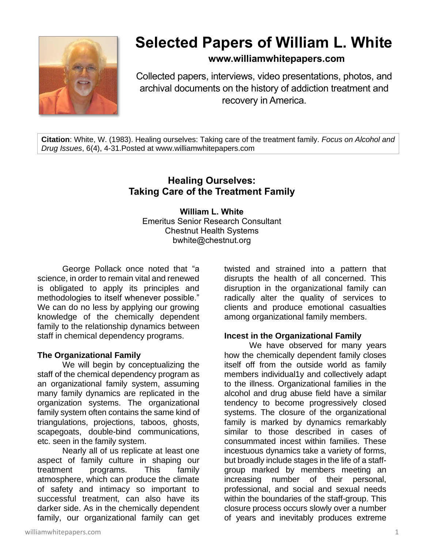

# **Selected Papers of William L. White**

## **www.williamwhitepapers.com**

Collected papers, interviews, video presentations, photos, and archival documents on the history of addiction treatment and recovery in America.

**Citation**: White, W. (1983). Healing ourselves: Taking care of the treatment family. *Focus on Alcohol and Drug Issues*, 6(4), 4-31.Posted at www.williamwhitepapers.com

# **Healing Ourselves: Taking Care of the Treatment Family**

**William L. White** Emeritus Senior Research Consultant Chestnut Health Systems bwhite@chestnut.org

George Pollack once noted that "a science, in order to remain vital and renewed is obligated to apply its principles and methodologies to itself whenever possible." We can do no less by applying our growing knowledge of the chemically dependent family to the relationship dynamics between staff in chemical dependency programs.

#### **The Organizational Family**

We will begin by conceptualizing the staff of the chemical dependency program as an organizational family system, assuming many family dynamics are replicated in the organization systems. The organizational family system often contains the same kind of triangulations, projections, taboos, ghosts, scapegoats, double-bind communications, etc. seen in the family system.

Nearly all of us replicate at least one aspect of family culture in shaping our treatment programs. This family atmosphere, which can produce the climate of safety and intimacy so important to successful treatment, can also have its darker side. As in the chemically dependent family, our organizational family can get

twisted and strained into a pattern that disrupts the health of all concerned. This disruption in the organizational family can radically alter the quality of services to clients and produce emotional casualties among organizational family members.

#### **Incest in the Organizational Family**

We have observed for many years how the chemically dependent family closes itself off from the outside world as family members individual1y and collectively adapt to the illness. Organizational families in the alcohol and drug abuse field have a similar tendency to become progressively closed systems. The closure of the organizational family is marked by dynamics remarkably similar to those described in cases of consummated incest within families. These incestuous dynamics take a variety of forms, but broadly include stages in the life of a staffgroup marked by members meeting an increasing number of their personal, professional, and social and sexual needs within the boundaries of the staff-group. This closure process occurs slowly over a number of years and inevitably produces extreme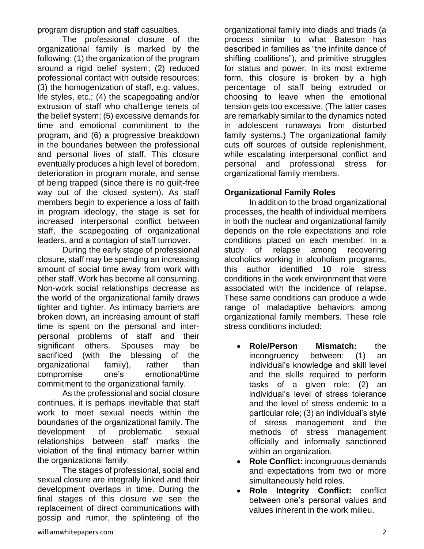program disruption and staff casualties.

The professional closure of the organizational family is marked by the following: (1) the organization of the program around a rigid belief system; (2) reduced professional contact with outside resources; (3) the homogenization of staff, e.g. values, life styles, etc.; (4) the scapegoating and/or extrusion of staff who chal1enge tenets of the belief system; (5) excessive demands for time and emotional commitment to the program, and (6) a progressive breakdown in the boundaries between the professional and personal lives of staff. This closure eventually produces a high level of boredom, deterioration in program morale, and sense of being trapped (since there is no guilt-free way out of the closed system). As staff members begin to experience a loss of faith in program ideology, the stage is set for increased interpersonal conflict between staff, the scapegoating of organizational leaders, and a contagion of staff turnover.

During the early stage of professional closure, staff may be spending an increasing amount of social time away from work with other staff. Work has become all consuming. Non-work social relationships decrease as the world of the organizational family draws tighter and tighter. As intimacy barriers are broken down, an increasing amount of staff time is spent on the personal and interpersonal problems of staff and their significant others. Spouses may be sacrificed (with the blessing of the organizational family), rather than compromise one's emotional/time commitment to the organizational family.

As the professional and social closure continues, it is perhaps inevitable that staff work to meet sexual needs within the boundaries of the organizational family. The development of problematic sexual relationships between staff marks the violation of the final intimacy barrier within the organizational family.

The stages of professional, social and sexual closure are integrally linked and their development overlaps in time. During the final stages of this closure we see the replacement of direct communications with gossip and rumor, the splintering of the

organizational family into diads and triads (a process similar to what Bateson has described in families as "the infinite dance of shifting coalitions"), and primitive struggles for status and power. In its most extreme form, this closure is broken by a high percentage of staff being extruded or choosing to leave when the emotional tension gets too excessive. (The latter cases are remarkably similar to the dynamics noted in adolescent runaways from disturbed family systems.) The organizational family cuts off sources of outside replenishment, while escalating interpersonal conflict and personal and professional stress for organizational family members.

## **Organizational Family Roles**

In addition to the broad organizational processes, the health of individual members in both the nuclear and organizational family depends on the role expectations and role conditions placed on each member. In a study of relapse among recovering alcoholics working in alcoholism programs, this author identified 10 role stress conditions in the work environment that were associated with the incidence of relapse. These same conditions can produce a wide range of maladaptive behaviors among organizational family members. These role stress conditions included:

- **Role/Person Mismatch:** the incongruency between: (1) an individual's knowledge and skill level and the skills required to perform tasks of a given role; (2) an individual's level of stress tolerance and the level of stress endemic to a particular role; (3) an individual's style of stress management and the methods of stress management officially and informally sanctioned within an organization.
- **Role Conflict:** incongruous demands and expectations from two or more simultaneously held roles.
- **Role Integrity Conflict:** conflict between one's personal values and values inherent in the work milieu.